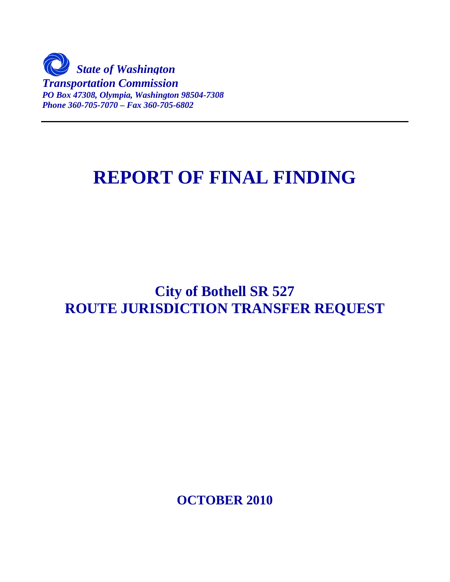

# **REPORT OF FINAL FINDING**

## **City of Bothell SR 527 ROUTE JURISDICTION TRANSFER REQUEST**

**OCTOBER 2010**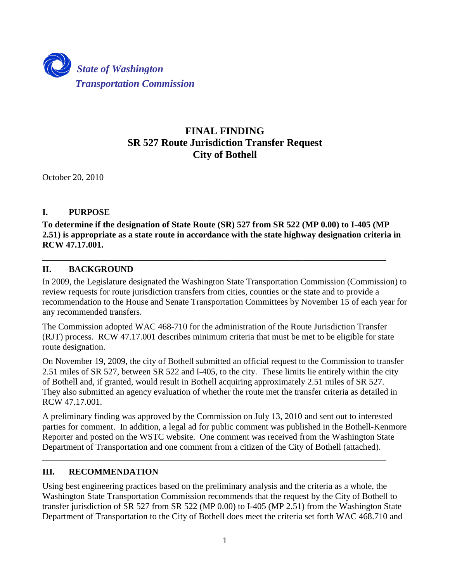

## **FINAL FINDING SR 527 Route Jurisdiction Transfer Request City of Bothell**

October 20, 2010

## **I. PURPOSE**

**To determine if the designation of State Route (SR) 527 from SR 522 (MP 0.00) to I-405 (MP 2.51) is appropriate as a state route in accordance with the state highway designation criteria in RCW 47.17.001.**

\_\_\_\_\_\_\_\_\_\_\_\_\_\_\_\_\_\_\_\_\_\_\_\_\_\_\_\_\_\_\_\_\_\_\_\_\_\_\_\_\_\_\_\_\_\_\_\_\_\_\_\_\_\_\_\_\_\_\_\_\_\_\_\_\_\_\_\_\_\_\_\_\_\_\_\_\_\_

## **II. BACKGROUND**

In 2009, the Legislature designated the Washington State Transportation Commission (Commission) to review requests for route jurisdiction transfers from cities, counties or the state and to provide a recommendation to the House and Senate Transportation Committees by November 15 of each year for any recommended transfers.

The Commission adopted WAC 468-710 for the administration of the Route Jurisdiction Transfer (RJT) process. RCW 47.17.001 describes minimum criteria that must be met to be eligible for state route designation.

On November 19, 2009, the city of Bothell submitted an official request to the Commission to transfer 2.51 miles of SR 527, between SR 522 and I-405, to the city. These limits lie entirely within the city of Bothell and, if granted, would result in Bothell acquiring approximately 2.51 miles of SR 527. They also submitted an agency evaluation of whether the route met the transfer criteria as detailed in RCW 47.17.001.

A preliminary finding was approved by the Commission on July 13, 2010 and sent out to interested parties for comment. In addition, a legal ad for public comment was published in the Bothell-Kenmore Reporter and posted on the WSTC website. One comment was received from the Washington State Department of Transportation and one comment from a citizen of the City of Bothell (attached).

\_\_\_\_\_\_\_\_\_\_\_\_\_\_\_\_\_\_\_\_\_\_\_\_\_\_\_\_\_\_\_\_\_\_\_\_\_\_\_\_\_\_\_\_\_\_\_\_\_\_\_\_\_\_\_\_\_\_\_\_\_\_\_\_\_\_\_\_\_\_\_\_\_\_\_\_\_\_

## **III. RECOMMENDATION**

Using best engineering practices based on the preliminary analysis and the criteria as a whole, the Washington State Transportation Commission recommends that the request by the City of Bothell to transfer jurisdiction of SR 527 from SR 522 (MP 0.00) to I-405 (MP 2.51) from the Washington State Department of Transportation to the City of Bothell does meet the criteria set forth WAC 468.710 and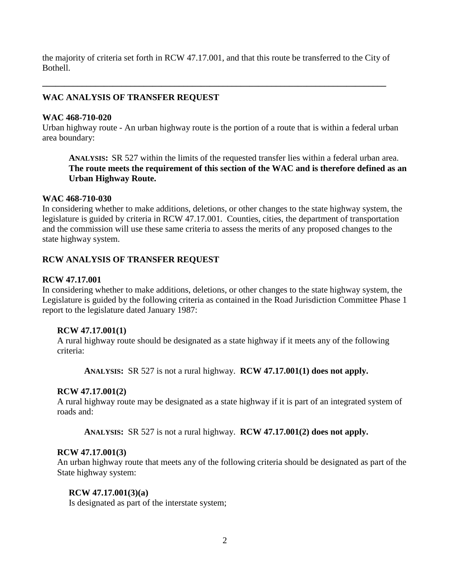the majority of criteria set forth in RCW 47.17.001, and that this route be transferred to the City of Bothell.

**\_\_\_\_\_\_\_\_\_\_\_\_\_\_\_\_\_\_\_\_\_\_\_\_\_\_\_\_\_\_\_\_\_\_\_\_\_\_\_\_\_\_\_\_\_\_\_\_\_\_\_\_\_\_\_\_\_\_\_\_\_\_\_\_\_\_\_\_\_\_\_\_\_\_\_\_\_\_** 

## **WAC ANALYSIS OF TRANSFER REQUEST**

### **WAC 468-710-020**

Urban highway route - An urban highway route is the portion of a route that is within a federal urban area boundary:

**ANALYSIS:** SR 527 within the limits of the requested transfer lies within a federal urban area. **The route meets the requirement of this section of the WAC and is therefore defined as an Urban Highway Route.**

#### **WAC 468-710-030**

In considering whether to make additions, deletions, or other changes to the state highway system, the legislature is guided by criteria in RCW 47.17.001. Counties, cities, the department of transportation and the commission will use these same criteria to assess the merits of any proposed changes to the state highway system.

## **RCW ANALYSIS OF TRANSFER REQUEST**

## **RCW 47.17.001**

In considering whether to make additions, deletions, or other changes to the state highway system, the Legislature is guided by the following criteria as contained in the Road Jurisdiction Committee Phase 1 report to the legislature dated January 1987:

#### **RCW 47.17.001(1)**

A rural highway route should be designated as a state highway if it meets any of the following criteria:

**ANALYSIS:** SR 527 is not a rural highway. **RCW 47.17.001(1) does not apply.** 

## **RCW 47.17.001(2)**

A rural highway route may be designated as a state highway if it is part of an integrated system of roads and:

**ANALYSIS:** SR 527 is not a rural highway. **RCW 47.17.001(2) does not apply.**

#### **RCW 47.17.001(3)**

An urban highway route that meets any of the following criteria should be designated as part of the State highway system:

## **RCW 47.17.001(3)(a)**

Is designated as part of the interstate system;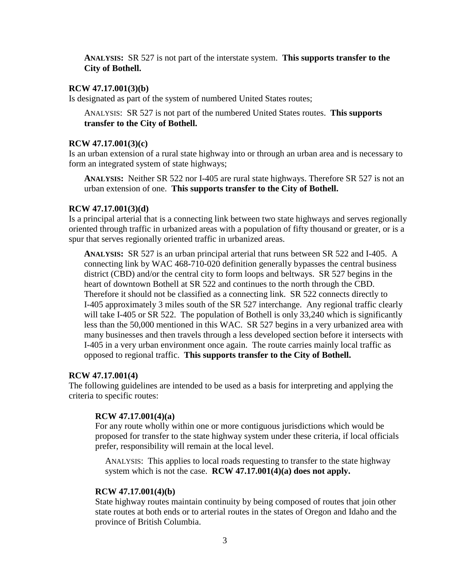**ANALYSIS:** SR 527 is not part of the interstate system. **This supports transfer to the City of Bothell.**

#### **RCW 47.17.001(3)(b)**

Is designated as part of the system of numbered United States routes;

ANALYSIS: SR 527 is not part of the numbered United States routes. **This supports transfer to the City of Bothell.**

#### **RCW 47.17.001(3)(c)**

Is an urban extension of a rural state highway into or through an urban area and is necessary to form an integrated system of state highways;

**ANALYSIS:** Neither SR 522 nor I-405 are rural state highways. Therefore SR 527 is not an urban extension of one. **This supports transfer to the City of Bothell.**

#### **RCW 47.17.001(3)(d)**

Is a principal arterial that is a connecting link between two state highways and serves regionally oriented through traffic in urbanized areas with a population of fifty thousand or greater, or is a spur that serves regionally oriented traffic in urbanized areas.

**ANALYSIS:** SR 527 is an urban principal arterial that runs between SR 522 and I-405. A connecting link by WAC 468-710-020 definition generally bypasses the central business district (CBD) and/or the central city to form loops and beltways. SR 527 begins in the heart of downtown Bothell at SR 522 and continues to the north through the CBD. Therefore it should not be classified as a connecting link. SR 522 connects directly to I-405 approximately 3 miles south of the SR 527 interchange. Any regional traffic clearly will take I-405 or SR 522. The population of Bothell is only 33,240 which is significantly less than the 50,000 mentioned in this WAC. SR 527 begins in a very urbanized area with many businesses and then travels through a less developed section before it intersects with I-405 in a very urban environment once again. The route carries mainly local traffic as opposed to regional traffic. **This supports transfer to the City of Bothell.**

#### **RCW 47.17.001(4)**

The following guidelines are intended to be used as a basis for interpreting and applying the criteria to specific routes:

#### **RCW 47.17.001(4)(a)**

For any route wholly within one or more contiguous jurisdictions which would be proposed for transfer to the state highway system under these criteria, if local officials prefer, responsibility will remain at the local level.

ANALYSIS: This applies to local roads requesting to transfer to the state highway system which is not the case. **RCW 47.17.001(4)(a) does not apply.**

#### **RCW 47.17.001(4)(b)**

State highway routes maintain continuity by being composed of routes that join other state routes at both ends or to arterial routes in the states of Oregon and Idaho and the province of British Columbia.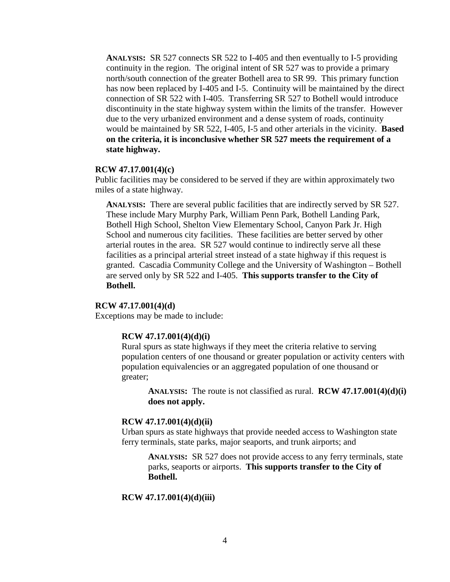**ANALYSIS:** SR 527 connects SR 522 to I-405 and then eventually to I-5 providing continuity in the region. The original intent of SR 527 was to provide a primary north/south connection of the greater Bothell area to SR 99. This primary function has now been replaced by I-405 and I-5. Continuity will be maintained by the direct connection of SR 522 with I-405. Transferring SR 527 to Bothell would introduce discontinuity in the state highway system within the limits of the transfer. However due to the very urbanized environment and a dense system of roads, continuity would be maintained by SR 522, I-405, I-5 and other arterials in the vicinity. **Based on the criteria, it is inconclusive whether SR 527 meets the requirement of a state highway.** 

#### **RCW 47.17.001(4)(c)**

Public facilities may be considered to be served if they are within approximately two miles of a state highway.

**ANALYSIS:** There are several public facilities that are indirectly served by SR 527. These include Mary Murphy Park, William Penn Park, Bothell Landing Park, Bothell High School, Shelton View Elementary School, Canyon Park Jr. High School and numerous city facilities. These facilities are better served by other arterial routes in the area. SR 527 would continue to indirectly serve all these facilities as a principal arterial street instead of a state highway if this request is granted. Cascadia Community College and the University of Washington – Bothell are served only by SR 522 and I-405. **This supports transfer to the City of Bothell.**

#### **RCW 47.17.001(4)(d)**

Exceptions may be made to include:

#### **RCW 47.17.001(4)(d)(i)**

Rural spurs as state highways if they meet the criteria relative to serving population centers of one thousand or greater population or activity centers with population equivalencies or an aggregated population of one thousand or greater;

**ANALYSIS:** The route is not classified as rural. **RCW 47.17.001(4)(d)(i) does not apply.**

#### **RCW 47.17.001(4)(d)(ii)**

Urban spurs as state highways that provide needed access to Washington state ferry terminals, state parks, major seaports, and trunk airports; and

**ANALYSIS:** SR 527 does not provide access to any ferry terminals, state parks, seaports or airports. **This supports transfer to the City of Bothell.**

#### **RCW 47.17.001(4)(d)(iii)**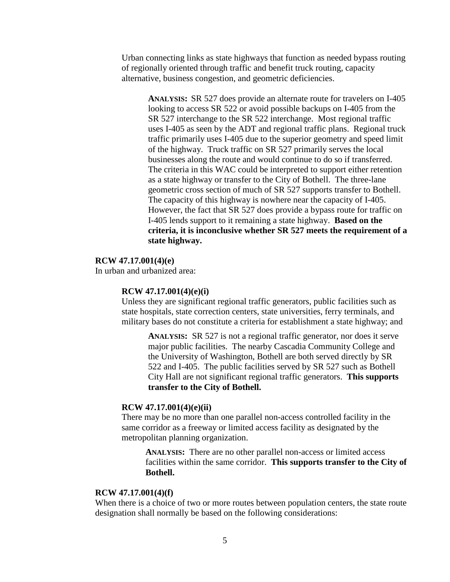Urban connecting links as state highways that function as needed bypass routing of regionally oriented through traffic and benefit truck routing, capacity alternative, business congestion, and geometric deficiencies.

**ANALYSIS:** SR 527 does provide an alternate route for travelers on I-405 looking to access SR 522 or avoid possible backups on I-405 from the SR 527 interchange to the SR 522 interchange. Most regional traffic uses I-405 as seen by the ADT and regional traffic plans. Regional truck traffic primarily uses I-405 due to the superior geometry and speed limit of the highway. Truck traffic on SR 527 primarily serves the local businesses along the route and would continue to do so if transferred. The criteria in this WAC could be interpreted to support either retention as a state highway or transfer to the City of Bothell. The three-lane geometric cross section of much of SR 527 supports transfer to Bothell. The capacity of this highway is nowhere near the capacity of I-405. However, the fact that SR 527 does provide a bypass route for traffic on I-405 lends support to it remaining a state highway. **Based on the criteria, it is inconclusive whether SR 527 meets the requirement of a state highway.** 

#### **RCW 47.17.001(4)(e)**

In urban and urbanized area:

#### **RCW 47.17.001(4)(e)(i)**

Unless they are significant regional traffic generators, public facilities such as state hospitals, state correction centers, state universities, ferry terminals, and military bases do not constitute a criteria for establishment a state highway; and

**ANALYSIS:** SR 527 is not a regional traffic generator, nor does it serve major public facilities. The nearby Cascadia Community College and the University of Washington, Bothell are both served directly by SR 522 and I-405. The public facilities served by SR 527 such as Bothell City Hall are not significant regional traffic generators. **This supports transfer to the City of Bothell.**

#### **RCW 47.17.001(4)(e)(ii)**

There may be no more than one parallel non-access controlled facility in the same corridor as a freeway or limited access facility as designated by the metropolitan planning organization.

**ANALYSIS:** There are no other parallel non-access or limited access facilities within the same corridor. **This supports transfer to the City of Bothell.**

#### **RCW 47.17.001(4)(f)**

When there is a choice of two or more routes between population centers, the state route designation shall normally be based on the following considerations: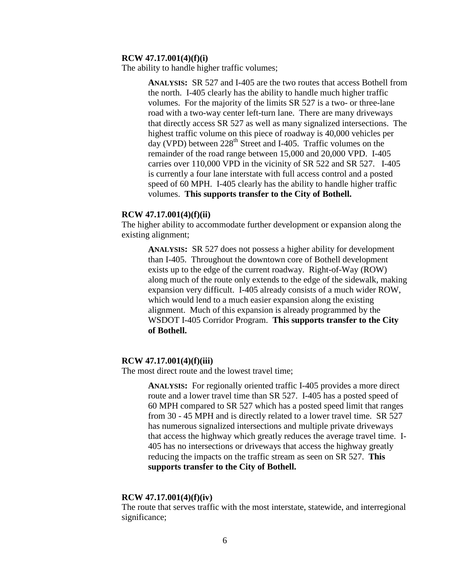#### **RCW 47.17.001(4)(f)(i)**

The ability to handle higher traffic volumes;

**ANALYSIS:** SR 527 and I-405 are the two routes that access Bothell from the north. I-405 clearly has the ability to handle much higher traffic volumes. For the majority of the limits SR 527 is a two- or three-lane road with a two-way center left-turn lane. There are many driveways that directly access SR 527 as well as many signalized intersections. The highest traffic volume on this piece of roadway is 40,000 vehicles per day (VPD) between  $228<sup>th</sup>$  Street and I-405. Traffic volumes on the remainder of the road range between 15,000 and 20,000 VPD. I-405 carries over 110,000 VPD in the vicinity of SR 522 and SR 527. I-405 is currently a four lane interstate with full access control and a posted speed of 60 MPH. I-405 clearly has the ability to handle higher traffic volumes. **This supports transfer to the City of Bothell.**

#### **RCW 47.17.001(4)(f)(ii)**

The higher ability to accommodate further development or expansion along the existing alignment;

**ANALYSIS:** SR 527 does not possess a higher ability for development than I-405. Throughout the downtown core of Bothell development exists up to the edge of the current roadway. Right-of-Way (ROW) along much of the route only extends to the edge of the sidewalk, making expansion very difficult. I-405 already consists of a much wider ROW, which would lend to a much easier expansion along the existing alignment. Much of this expansion is already programmed by the WSDOT I-405 Corridor Program. **This supports transfer to the City of Bothell.** 

#### **RCW 47.17.001(4)(f)(iii)**

The most direct route and the lowest travel time;

**ANALYSIS:** For regionally oriented traffic I-405 provides a more direct route and a lower travel time than SR 527. I-405 has a posted speed of 60 MPH compared to SR 527 which has a posted speed limit that ranges from 30 - 45 MPH and is directly related to a lower travel time. SR 527 has numerous signalized intersections and multiple private driveways that access the highway which greatly reduces the average travel time. I-405 has no intersections or driveways that access the highway greatly reducing the impacts on the traffic stream as seen on SR 527. **This supports transfer to the City of Bothell.**

#### **RCW 47.17.001(4)(f)(iv)**

The route that serves traffic with the most interstate, statewide, and interregional significance;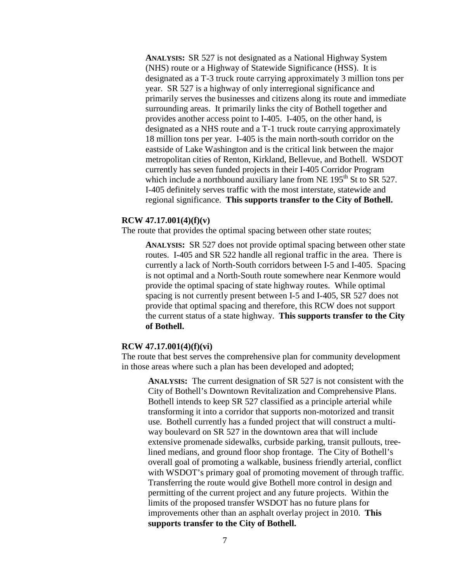**ANALYSIS:** SR 527 is not designated as a National Highway System (NHS) route or a Highway of Statewide Significance (HSS). It is designated as a T-3 truck route carrying approximately 3 million tons per year. SR 527 is a highway of only interregional significance and primarily serves the businesses and citizens along its route and immediate surrounding areas. It primarily links the city of Bothell together and provides another access point to I-405. I-405, on the other hand, is designated as a NHS route and a T-1 truck route carrying approximately 18 million tons per year. I-405 is the main north-south corridor on the eastside of Lake Washington and is the critical link between the major metropolitan cities of Renton, Kirkland, Bellevue, and Bothell. WSDOT currently has seven funded projects in their I-405 Corridor Program which include a northbound auxiliary lane from NE  $195<sup>th</sup>$  St to SR 527. I-405 definitely serves traffic with the most interstate, statewide and regional significance. **This supports transfer to the City of Bothell.**

#### **RCW 47.17.001(4)(f)(v)**

The route that provides the optimal spacing between other state routes;

**ANALYSIS:** SR 527 does not provide optimal spacing between other state routes. I-405 and SR 522 handle all regional traffic in the area. There is currently a lack of North-South corridors between I-5 and I-405. Spacing is not optimal and a North-South route somewhere near Kenmore would provide the optimal spacing of state highway routes. While optimal spacing is not currently present between I-5 and I-405, SR 527 does not provide that optimal spacing and therefore, this RCW does not support the current status of a state highway. **This supports transfer to the City of Bothell.**

#### **RCW 47.17.001(4)(f)(vi)**

The route that best serves the comprehensive plan for community development in those areas where such a plan has been developed and adopted;

**ANALYSIS:** The current designation of SR 527 is not consistent with the City of Bothell's Downtown Revitalization and Comprehensive Plans. Bothell intends to keep SR 527 classified as a principle arterial while transforming it into a corridor that supports non-motorized and transit use. Bothell currently has a funded project that will construct a multiway boulevard on SR 527 in the downtown area that will include extensive promenade sidewalks, curbside parking, transit pullouts, treelined medians, and ground floor shop frontage. The City of Bothell's overall goal of promoting a walkable, business friendly arterial, conflict with WSDOT's primary goal of promoting movement of through traffic. Transferring the route would give Bothell more control in design and permitting of the current project and any future projects. Within the limits of the proposed transfer WSDOT has no future plans for improvements other than an asphalt overlay project in 2010. **This supports transfer to the City of Bothell.**